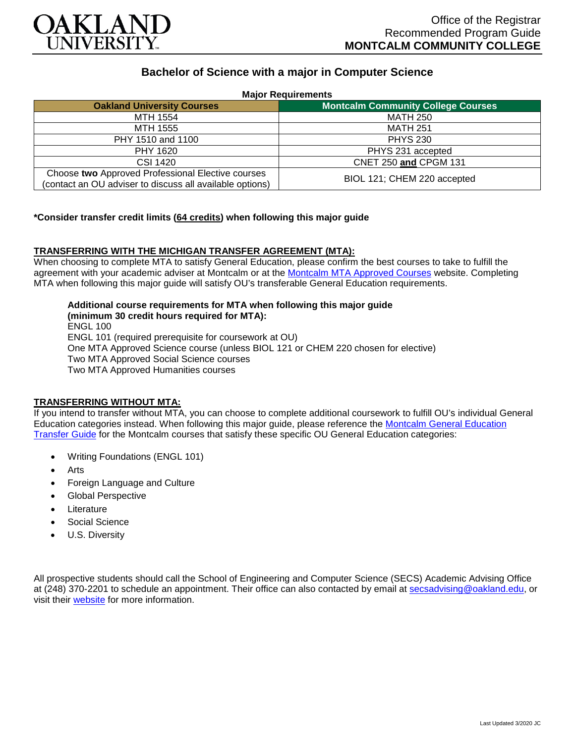

# **Bachelor of Science with a major in Computer Science**

| <b>Major Requirements</b>                                |                                           |
|----------------------------------------------------------|-------------------------------------------|
| <b>Oakland University Courses</b>                        | <b>Montcalm Community College Courses</b> |
| MTH 1554                                                 | <b>MATH 250</b>                           |
| MTH 1555                                                 | <b>MATH 251</b>                           |
| PHY 1510 and 1100                                        | <b>PHYS 230</b>                           |
| PHY 1620                                                 | PHYS 231 accepted                         |
| CSI 1420                                                 | CNET 250 and CPGM 131                     |
| Choose two Approved Professional Elective courses        | BIOL 121; CHEM 220 accepted               |
| (contact an OU adviser to discuss all available options) |                                           |

### **\*Consider transfer credit limits (64 credits) when following this major guide**

### **TRANSFERRING WITH THE MICHIGAN TRANSFER AGREEMENT (MTA):**

When choosing to complete MTA to satisfy General Education, please confirm the best courses to take to fulfill the agreement with your academic adviser at Montcalm or at the [Montcalm MTA Approved Courses](https://www.montcalm.edu/counseling/transfer/) website. Completing MTA when following this major guide will satisfy OU's transferable General Education requirements.

**Additional course requirements for MTA when following this major guide (minimum 30 credit hours required for MTA):**

ENGL 100 ENGL 101 (required prerequisite for coursework at OU) One MTA Approved Science course (unless BIOL 121 or CHEM 220 chosen for elective) Two MTA Approved Social Science courses Two MTA Approved Humanities courses

## **TRANSFERRING WITHOUT MTA:**

If you intend to transfer without MTA, you can choose to complete additional coursework to fulfill OU's individual General Education categories instead. When following this major guide, please reference the [Montcalm General Education](https://www.oakland.edu/Assets/Oakland/program-guides/montcalm-community-college/university-general-education-requirements/Montcalm%20Gen%20Ed.pdf)  [Transfer Guide](https://www.oakland.edu/Assets/Oakland/program-guides/montcalm-community-college/university-general-education-requirements/Montcalm%20Gen%20Ed.pdf) for the Montcalm courses that satisfy these specific OU General Education categories:

- Writing Foundations (ENGL 101)
- **Arts**
- Foreign Language and Culture
- Global Perspective
- **Literature**
- Social Science
- U.S. Diversity

All prospective students should call the School of Engineering and Computer Science (SECS) Academic Advising Office at (248) 370-2201 to schedule an appointment. Their office can also contacted by email at [secsadvising@oakland.edu,](mailto:secsadvising@oakland.edu) or visit their [website](https://wwwp.oakland.edu/secs/advising/) for more information.